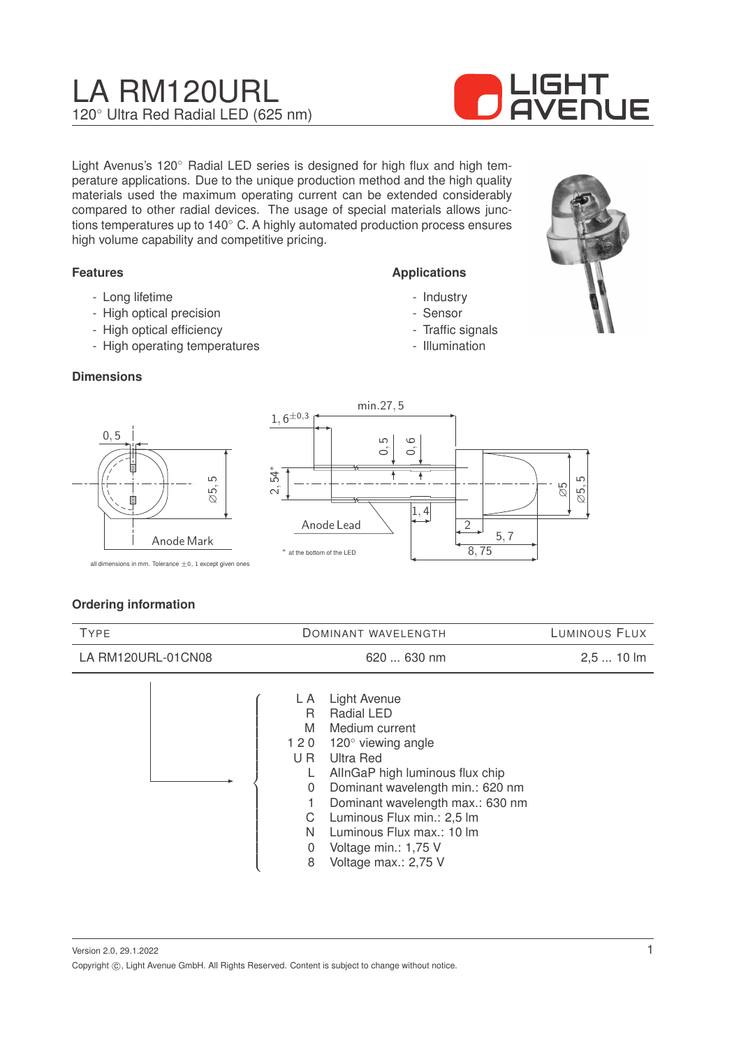# LA RM120URL 120◦ Ultra Red Radial LED (625 nm)



Light Avenus's 120◦ Radial LED series is designed for high flux and high temperature applications. Due to the unique production method and the high quality materials used the maximum operating current can be extended considerably compared to other radial devices. The usage of special materials allows junctions temperatures up to 140◦ C. A highly automated production process ensures high volume capability and competitive pricing.

#### **Features**

- Long lifetime
- High optical precision
- High optical efficiency
- High operating temperatures

#### **Dimensions**

0, 5



- Sensor
- Traffic signals
- Illumination





all dimensions in mm. Tolerance  $\pm 0$ , 1 except given ones

#### **Ordering information**

| <b>TYPE</b>        | DOMINANT WAVELENGTH                                                                                                                                                                                                                                                                                                                                                                         | LUMINOUS FLUX |
|--------------------|---------------------------------------------------------------------------------------------------------------------------------------------------------------------------------------------------------------------------------------------------------------------------------------------------------------------------------------------------------------------------------------------|---------------|
| LA RM120URL-01CN08 | $620630$ nm                                                                                                                                                                                                                                                                                                                                                                                 | $2,510$ lm    |
|                    | Light Avenue<br>L A<br><b>Radial LED</b><br>R<br>M<br>Medium current<br>120 $^{\circ}$ viewing angle<br>120<br>U R<br>Ultra Red<br>AllnGaP high luminous flux chip<br>Dominant wavelength min.: 620 nm<br>$\overline{0}$<br>Dominant wavelength max.: 630 nm<br>Luminous Flux min.: 2,5 lm<br>C<br>Luminous Flux max.: 10 lm<br>N<br>Voltage min.: 1,75 V<br>0<br>Voltage max.: 2,75 V<br>8 |               |

Version 2.0, 29.1.2022 Copyright  $\circled{c}$ , Light Avenue GmbH. All Rights Reserved. Content is subject to change without notice.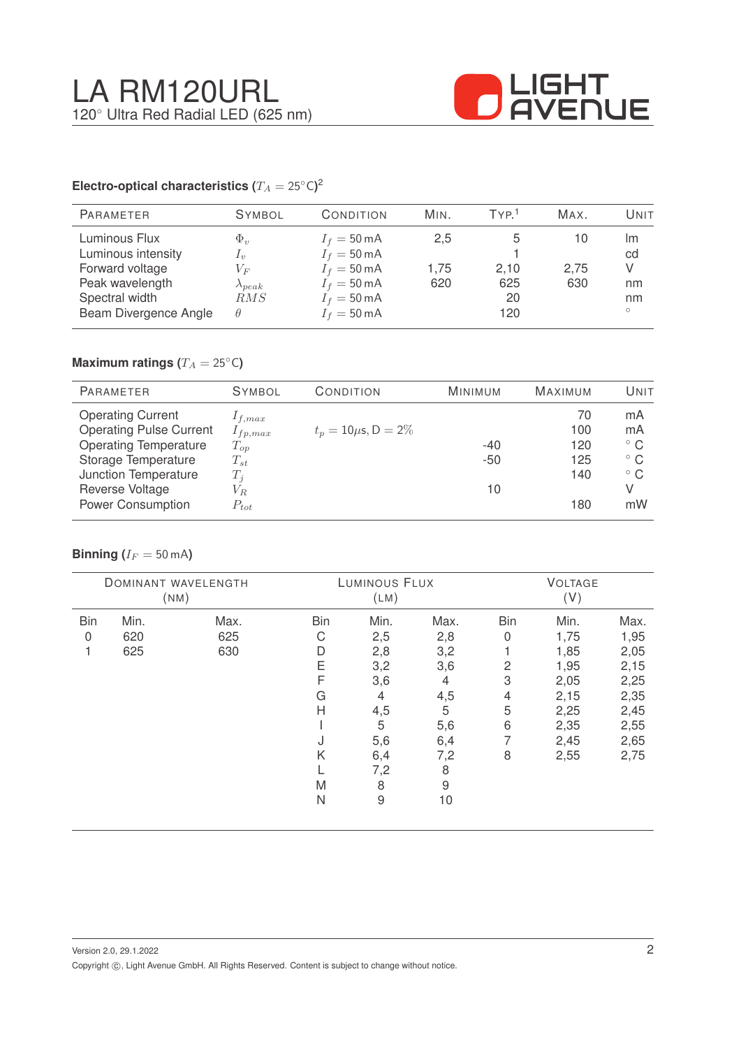

#### **Electro-optical characteristics (T\_A = 25^{\circ} \text{C}</math>)<sup>2</sup>**

| <b>PARAMETER</b>                                                                                                     | <b>SYMBOL</b>                                                            | CONDITION                                                                                                                                          | MIN.               | TYP <sup>1</sup>         | MAX.              | Unit                                 |
|----------------------------------------------------------------------------------------------------------------------|--------------------------------------------------------------------------|----------------------------------------------------------------------------------------------------------------------------------------------------|--------------------|--------------------------|-------------------|--------------------------------------|
| Luminous Flux<br>Luminous intensity<br>Forward voltage<br>Peak wavelength<br>Spectral width<br>Beam Divergence Angle | $\Phi_v$<br>$I_{\eta}$<br>$V_{F}$<br>$\lambda_{peak}$<br>RMS<br>$\theta$ | $I_f = 50 \text{ mA}$<br>$I_f = 50 \text{ mA}$<br>$I_f = 50 \text{ mA}$<br>$I_f = 50 \text{ mA}$<br>$I_f = 50 \text{ mA}$<br>$I_f = 50 \text{ mA}$ | 2,5<br>1.75<br>620 | 2,10<br>625<br>20<br>120 | 10<br>2,75<br>630 | Im<br>cd<br>V<br>nm<br>nm<br>$\circ$ |

## **Maximum ratings (** $T_A = 25$ °C)

| <b>PARAMETER</b>               | <b>SYMBOL</b> | CONDITION                 | <b>MINIMUM</b> | <b>MAXIMUM</b> | UNIT         |
|--------------------------------|---------------|---------------------------|----------------|----------------|--------------|
| <b>Operating Current</b>       | $I_{f,max}$   |                           |                | 70             | mA           |
| <b>Operating Pulse Current</b> | $I_{fp,max}$  | $t_p = 10 \mu s$ , D = 2% |                | 100            | mA           |
| <b>Operating Temperature</b>   | $T_{op}$      |                           | $-40$          | 120            | $^{\circ}$ C |
| Storage Temperature            | $T_{st}$      |                           | $-50$          | 125            | $^{\circ}$ C |
| Junction Temperature           | $T_i$         |                           |                | 140            | $^{\circ}$ C |
| Reverse Voltage                | $V_{R.}$      |                           | 10             |                | V            |
| <b>Power Consumption</b>       | $P_{tot}$     |                           |                | 180            | mW           |

#### **Binning** ( $I_F = 50$  mA)

|            |      | <b>DOMINANT WAVELENGTH</b><br>(NM) |            | LUMINOUS FLUX<br>(LM) |                |                | <b>VOLTAGE</b><br>(V) |      |
|------------|------|------------------------------------|------------|-----------------------|----------------|----------------|-----------------------|------|
| <b>Bin</b> | Min. | Max.                               | <b>Bin</b> | Min.                  | Max.           | <b>Bin</b>     | Min.                  | Max. |
| 0          | 620  | 625                                | С          | 2,5                   | 2,8            | $\overline{0}$ | 1,75                  | 1,95 |
|            | 625  | 630                                | D          | 2,8                   | 3,2            |                | 1,85                  | 2,05 |
|            |      |                                    | E          | 3,2                   | 3,6            | 2              | 1,95                  | 2,15 |
|            |      |                                    | F          | 3,6                   | $\overline{4}$ | 3              | 2,05                  | 2,25 |
|            |      |                                    | G          | 4                     | 4,5            | 4              | 2,15                  | 2,35 |
|            |      |                                    | Н          | 4,5                   | 5              | 5              | 2,25                  | 2,45 |
|            |      |                                    |            | 5                     | 5,6            | 6              | 2,35                  | 2,55 |
|            |      |                                    | J          | 5,6                   | 6,4            | 7              | 2,45                  | 2,65 |
|            |      |                                    | Κ          | 6,4                   | 7,2            | 8              | 2,55                  | 2,75 |
|            |      |                                    |            | 7,2                   | 8              |                |                       |      |
|            |      |                                    | M          | 8                     | 9              |                |                       |      |
|            |      |                                    | N          | $\hbox{9}$            | 10             |                |                       |      |
|            |      |                                    |            |                       |                |                |                       |      |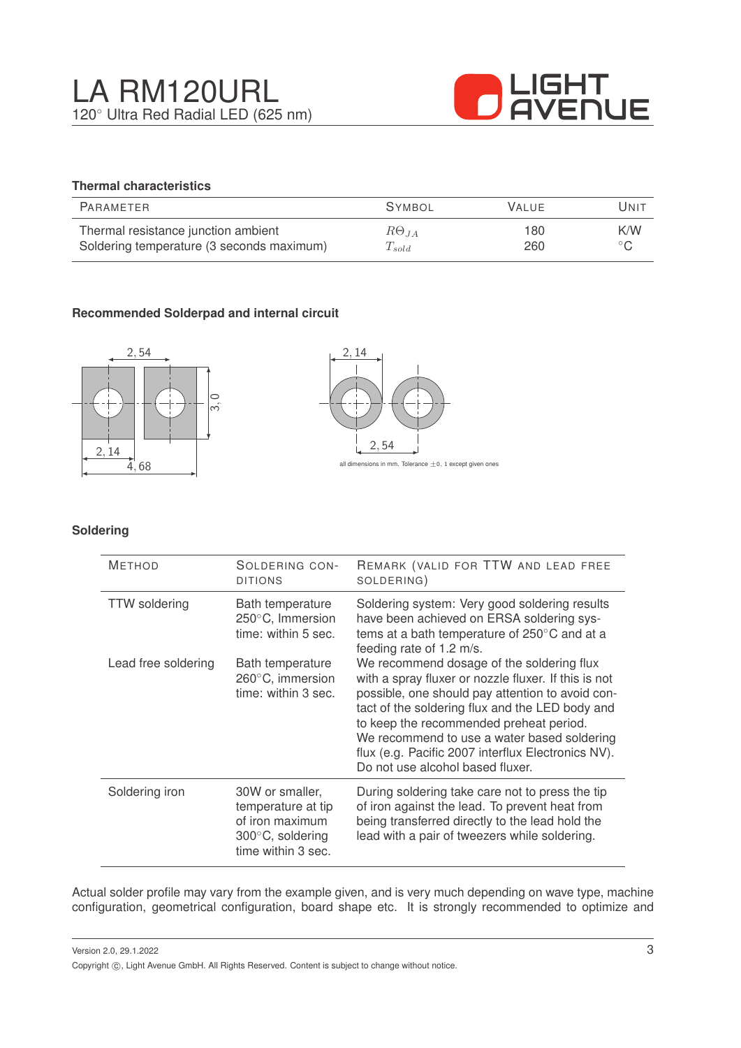

### **Thermal characteristics**

| PARAMETER                                 | <b>SYMBOL</b>  | <b>VALUE</b> | Unit           |
|-------------------------------------------|----------------|--------------|----------------|
| Thermal resistance junction ambient       | $R\Theta_{JA}$ | 180          | K/W            |
| Soldering temperature (3 seconds maximum) | $T_{solid}$    | 260          | $\circ$ $\cap$ |

#### **Recommended Solderpad and internal circuit**





#### **Soldering**

| <b>METHOD</b>        | SOLDERING CON-<br><b>DITIONS</b>                                                                             | REMARK (VALID FOR TTW AND LEAD FREE<br>SOLDERING)                                                                                                                                                                                                                                                                                                                                            |
|----------------------|--------------------------------------------------------------------------------------------------------------|----------------------------------------------------------------------------------------------------------------------------------------------------------------------------------------------------------------------------------------------------------------------------------------------------------------------------------------------------------------------------------------------|
| <b>TTW</b> soldering | Bath temperature<br>250°C, Immersion<br>time: within 5 sec.                                                  | Soldering system: Very good soldering results<br>have been achieved on ERSA soldering sys-<br>tems at a bath temperature of 250°C and at a<br>feeding rate of 1.2 m/s.                                                                                                                                                                                                                       |
| Lead free soldering  | Bath temperature<br>260°C, immersion<br>time: within 3 sec.                                                  | We recommend dosage of the soldering flux<br>with a spray fluxer or nozzle fluxer. If this is not<br>possible, one should pay attention to avoid con-<br>tact of the soldering flux and the LED body and<br>to keep the recommended preheat period.<br>We recommend to use a water based soldering<br>flux (e.g. Pacific 2007 interflux Electronics NV).<br>Do not use alcohol based fluxer. |
| Soldering iron       | 30W or smaller,<br>temperature at tip<br>of iron maximum<br>$300^{\circ}$ C, soldering<br>time within 3 sec. | During soldering take care not to press the tip<br>of iron against the lead. To prevent heat from<br>being transferred directly to the lead hold the<br>lead with a pair of tweezers while soldering.                                                                                                                                                                                        |

Actual solder profile may vary from the example given, and is very much depending on wave type, machine configuration, geometrical configuration, board shape etc. It is strongly recommended to optimize and

Version 2.0, 29.1.2022 Copyright  $\circled{c}$ , Light Avenue GmbH. All Rights Reserved. Content is subject to change without notice.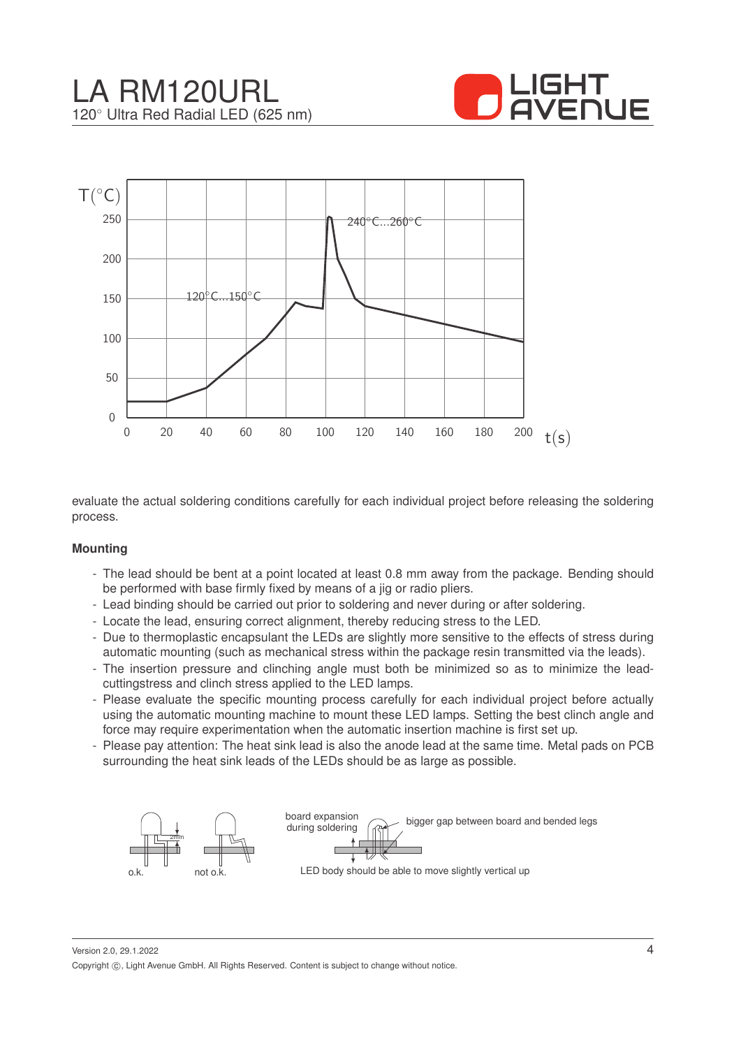





evaluate the actual soldering conditions carefully for each individual project before releasing the soldering process.

#### **Mounting**

- The lead should be bent at a point located at least 0.8 mm away from the package. Bending should be performed with base firmly fixed by means of a jig or radio pliers.
- Lead binding should be carried out prior to soldering and never during or after soldering.
- Locate the lead, ensuring correct alignment, thereby reducing stress to the LED.
- Due to thermoplastic encapsulant the LEDs are slightly more sensitive to the effects of stress during automatic mounting (such as mechanical stress within the package resin transmitted via the leads).
- The insertion pressure and clinching angle must both be minimized so as to minimize the leadcuttingstress and clinch stress applied to the LED lamps.
- Please evaluate the specific mounting process carefully for each individual project before actually using the automatic mounting machine to mount these LED lamps. Setting the best clinch angle and force may require experimentation when the automatic insertion machine is first set up.
- Please pay attention: The heat sink lead is also the anode lead at the same time. Metal pads on PCB surrounding the heat sink leads of the LEDs should be as large as possible.



Version 2.0, 29.1.2022 Copyright ©, Light Avenue GmbH. All Rights Reserved. Content is subject to change without notice.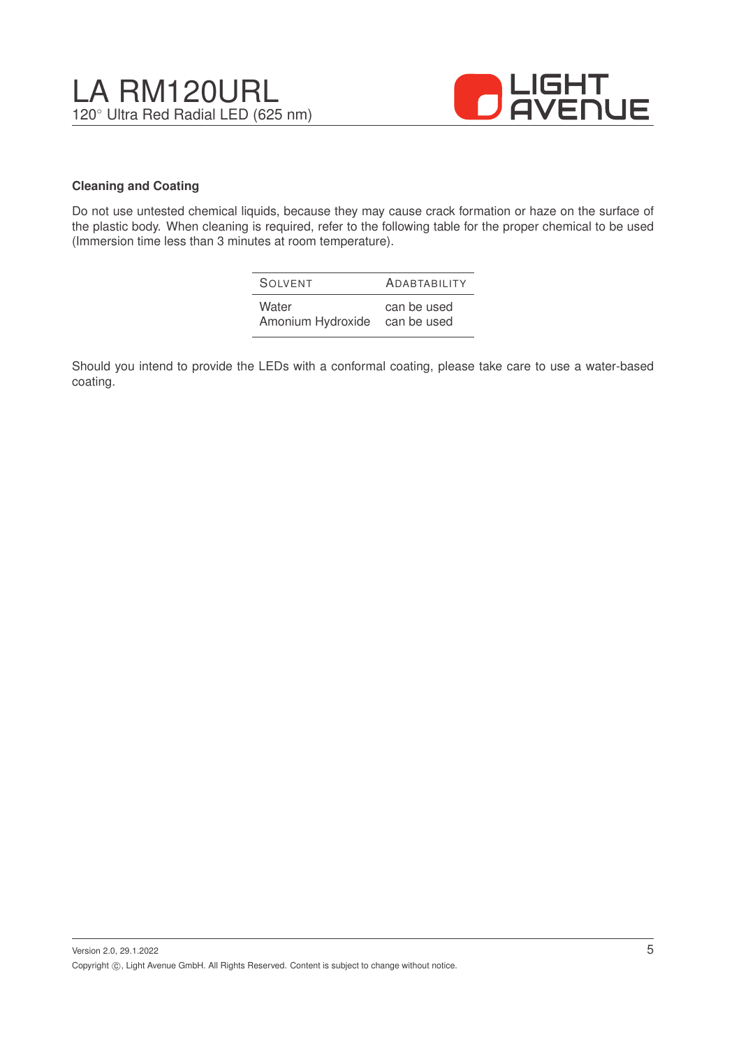

#### **Cleaning and Coating**

Do not use untested chemical liquids, because they may cause crack formation or haze on the surface of the plastic body. When cleaning is required, refer to the following table for the proper chemical to be used (Immersion time less than 3 minutes at room temperature).

| SOIVENT           | <b>ADABTABILITY</b> |
|-------------------|---------------------|
| Water             | can be used         |
| Amonium Hydroxide | can be used         |

Should you intend to provide the LEDs with a conformal coating, please take care to use a water-based coating.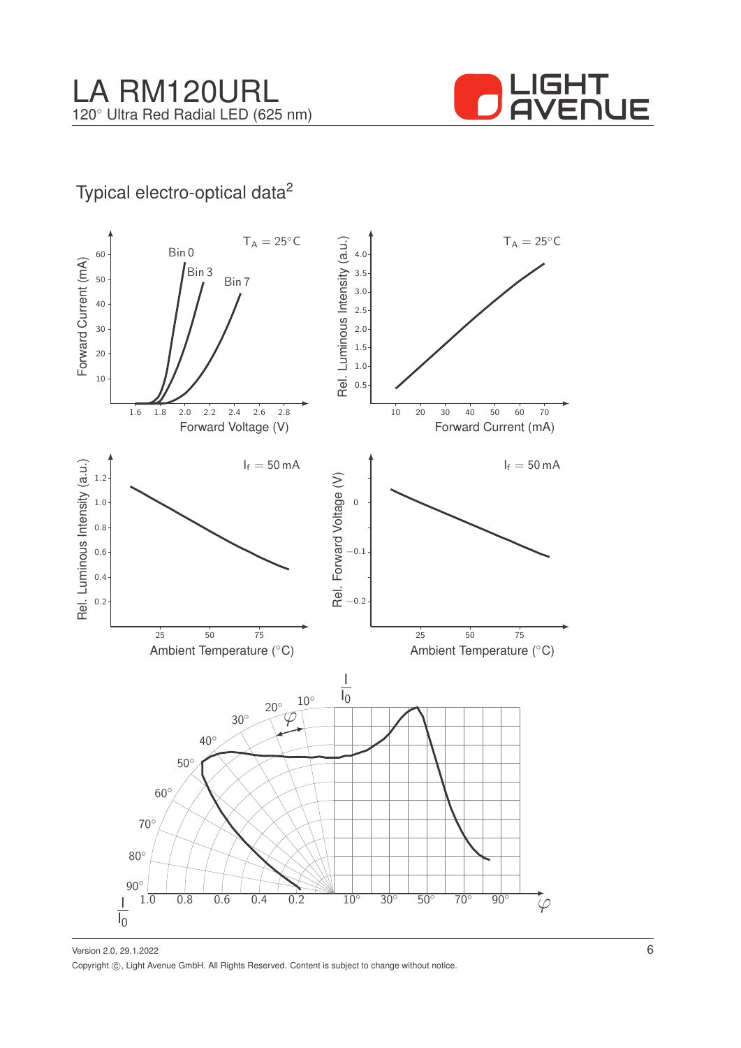

## Typical electro-optical data<sup>2</sup>



Version 2.0, 29.1.2022 Copyright ©, Light Avenue GmbH. All Rights Reserved. Content is subject to change without notice.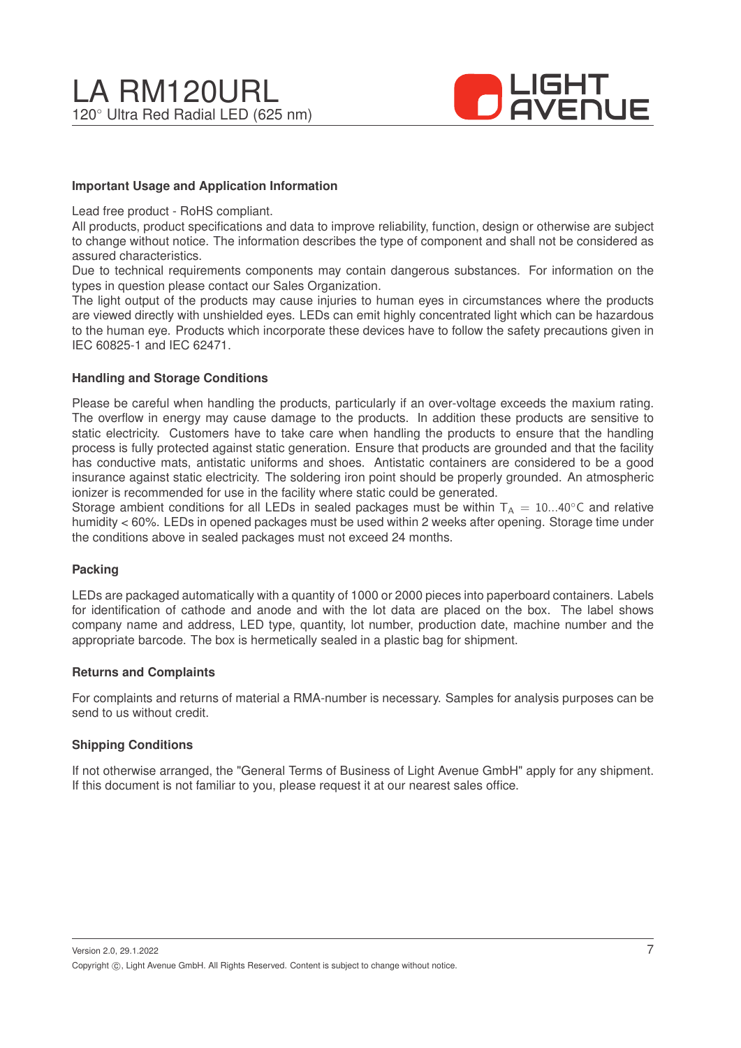

#### **Important Usage and Application Information**

Lead free product - RoHS compliant.

All products, product specifications and data to improve reliability, function, design or otherwise are subject to change without notice. The information describes the type of component and shall not be considered as assured characteristics.

Due to technical requirements components may contain dangerous substances. For information on the types in question please contact our Sales Organization.

The light output of the products may cause injuries to human eyes in circumstances where the products are viewed directly with unshielded eyes. LEDs can emit highly concentrated light which can be hazardous to the human eye. Products which incorporate these devices have to follow the safety precautions given in IEC 60825-1 and IEC 62471.

#### **Handling and Storage Conditions**

Please be careful when handling the products, particularly if an over-voltage exceeds the maxium rating. The overflow in energy may cause damage to the products. In addition these products are sensitive to static electricity. Customers have to take care when handling the products to ensure that the handling process is fully protected against static generation. Ensure that products are grounded and that the facility has conductive mats, antistatic uniforms and shoes. Antistatic containers are considered to be a good insurance against static electricity. The soldering iron point should be properly grounded. An atmospheric ionizer is recommended for use in the facility where static could be generated.

Storage ambient conditions for all LEDs in sealed packages must be within  $T_A = 10...40^\circ$ C and relative humidity < 60%. LEDs in opened packages must be used within 2 weeks after opening. Storage time under the conditions above in sealed packages must not exceed 24 months.

#### **Packing**

LEDs are packaged automatically with a quantity of 1000 or 2000 pieces into paperboard containers. Labels for identification of cathode and anode and with the lot data are placed on the box. The label shows company name and address, LED type, quantity, lot number, production date, machine number and the appropriate barcode. The box is hermetically sealed in a plastic bag for shipment.

#### **Returns and Complaints**

For complaints and returns of material a RMA-number is necessary. Samples for analysis purposes can be send to us without credit.

#### **Shipping Conditions**

If not otherwise arranged, the "General Terms of Business of Light Avenue GmbH" apply for any shipment. If this document is not familiar to you, please request it at our nearest sales office.